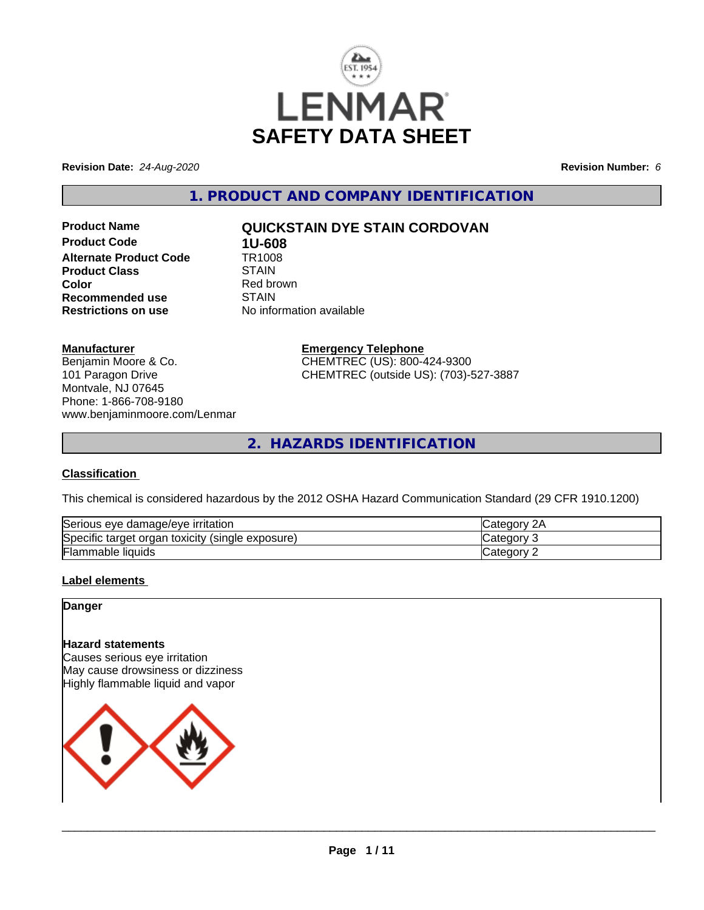

**Revision Date:** *24-Aug-2020* **Revision Number:** *6*

**1. PRODUCT AND COMPANY IDENTIFICATION**

**Product Code 1U-608**<br>**Alternate Product Code 1R1008 Alternate Product Code TR100**<br>Product Class STAIN **Product Class Color**<br> **Recommended use**<br> **COLORER STAIN Recommended use**<br>Restrictions on use

# **Product Name QUICKSTAIN DYE STAIN CORDOVAN**

**No information available** 

### **Manufacturer**

Benjamin Moore & Co. 101 Paragon Drive Montvale, NJ 07645 Phone: 1-866-708-9180 www.benjaminmoore.com/Lenmar

# **Emergency Telephone** CHEMTREC (US): 800-424-9300

CHEMTREC (outside US): (703)-527-3887

**2. HAZARDS IDENTIFICATION**

## **Classification**

This chemical is considered hazardous by the 2012 OSHA Hazard Communication Standard (29 CFR 1910.1200)

| $\sim$                                                           | ົດ ^                 |
|------------------------------------------------------------------|----------------------|
| e damage/eve irritation                                          | $\sim$ $\sim$ $\sim$ |
| Serious eve                                                      | וחר                  |
| Specific<br>exposure)<br>toxicity<br>organ<br>(single)<br>target | ≀ח∩מ                 |
| ╺                                                                | : ategor             |
| Flammable liquids                                                | -                    |

## **Label elements**

**Danger**

# **Hazard statements**

Causes serious eye irritation May cause drowsiness or dizziness Highly flammable liquid and vapor

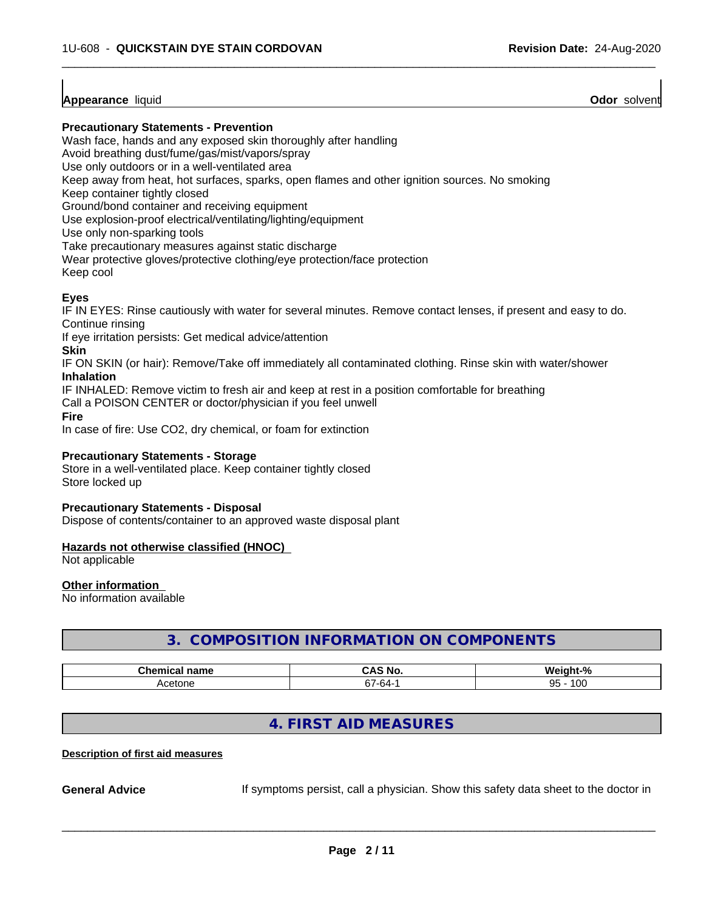## **Appearance** liquid **Odor** solvent

#### **Precautionary Statements - Prevention**

Wash face, hands and any exposed skin thoroughly after handling

Avoid breathing dust/fume/gas/mist/vapors/spray

Use only outdoors or in a well-ventilated area

Keep away from heat, hot surfaces, sparks, open flames and other ignition sources. No smoking

Keep container tightly closed

Ground/bond container and receiving equipment

Use explosion-proof electrical/ventilating/lighting/equipment

Use only non-sparking tools

Take precautionary measures against static discharge

Wear protective gloves/protective clothing/eye protection/face protection

Keep cool

# **Eyes**

IF IN EYES: Rinse cautiously with water for several minutes. Remove contact lenses, if present and easy to do. Continue rinsing

 $\overline{\phantom{a}}$  ,  $\overline{\phantom{a}}$  ,  $\overline{\phantom{a}}$  ,  $\overline{\phantom{a}}$  ,  $\overline{\phantom{a}}$  ,  $\overline{\phantom{a}}$  ,  $\overline{\phantom{a}}$  ,  $\overline{\phantom{a}}$  ,  $\overline{\phantom{a}}$  ,  $\overline{\phantom{a}}$  ,  $\overline{\phantom{a}}$  ,  $\overline{\phantom{a}}$  ,  $\overline{\phantom{a}}$  ,  $\overline{\phantom{a}}$  ,  $\overline{\phantom{a}}$  ,  $\overline{\phantom{a}}$ 

If eye irritation persists: Get medical advice/attention

**Skin**

IF ON SKIN (or hair): Remove/Take off immediately all contaminated clothing. Rinse skin with water/shower **Inhalation**

IF INHALED: Remove victim to fresh air and keep at rest in a position comfortable for breathing

Call a POISON CENTER or doctor/physician if you feel unwell

**Fire**

In case of fire: Use CO2, dry chemical, or foam for extinction

#### **Precautionary Statements - Storage**

Store in a well-ventilated place. Keep container tightly closed Store locked up

#### **Precautionary Statements - Disposal**

Dispose of contents/container to an approved waste disposal plant

#### **Hazards not otherwise classified (HNOC)**

Not applicable

#### **Other information**

No information available

# **3. COMPOSITION INFORMATION ON COMPONENTS**

| <b>Phome</b><br>name<br>. | NO<br>uni         | О.<br>---<br>,,                   |
|---------------------------|-------------------|-----------------------------------|
| atonc<br>~<br>50 J I I    | --<br>-n4-<br>. . | 10 <sup>c</sup><br>ΩE<br>.uu<br>ື |

# **4. FIRST AID MEASURES**

#### **Description of first aid measures**

**General Advice** If symptoms persist, call a physician. Show this safety data sheet to the doctor in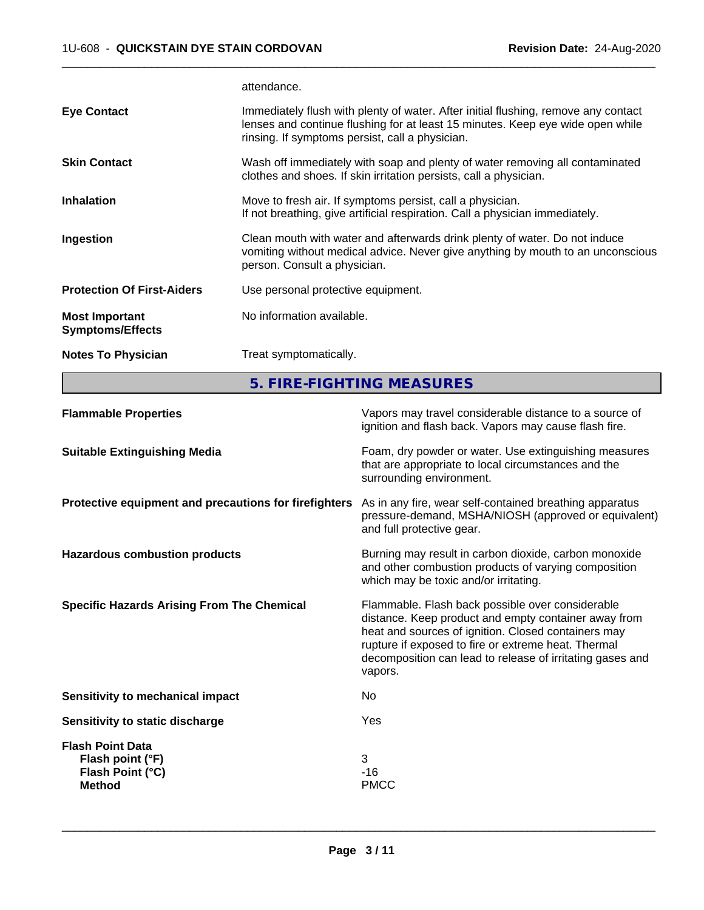attendance.

| <b>Notes To Physician</b>                        | Treat symptomatically.                                                                                                                                                                                                  |
|--------------------------------------------------|-------------------------------------------------------------------------------------------------------------------------------------------------------------------------------------------------------------------------|
| <b>Most Important</b><br><b>Symptoms/Effects</b> | No information available.                                                                                                                                                                                               |
| <b>Protection Of First-Aiders</b>                | Use personal protective equipment.                                                                                                                                                                                      |
| Ingestion                                        | Clean mouth with water and afterwards drink plenty of water. Do not induce<br>vomiting without medical advice. Never give anything by mouth to an unconscious<br>person. Consult a physician.                           |
| <b>Inhalation</b>                                | Move to fresh air. If symptoms persist, call a physician.<br>If not breathing, give artificial respiration. Call a physician immediately.                                                                               |
| <b>Skin Contact</b>                              | Wash off immediately with soap and plenty of water removing all contaminated<br>clothes and shoes. If skin irritation persists, call a physician.                                                                       |
| <b>Eye Contact</b>                               | Immediately flush with plenty of water. After initial flushing, remove any contact<br>lenses and continue flushing for at least 15 minutes. Keep eye wide open while<br>rinsing. If symptoms persist, call a physician. |
|                                                  |                                                                                                                                                                                                                         |

 $\overline{\phantom{a}}$  ,  $\overline{\phantom{a}}$  ,  $\overline{\phantom{a}}$  ,  $\overline{\phantom{a}}$  ,  $\overline{\phantom{a}}$  ,  $\overline{\phantom{a}}$  ,  $\overline{\phantom{a}}$  ,  $\overline{\phantom{a}}$  ,  $\overline{\phantom{a}}$  ,  $\overline{\phantom{a}}$  ,  $\overline{\phantom{a}}$  ,  $\overline{\phantom{a}}$  ,  $\overline{\phantom{a}}$  ,  $\overline{\phantom{a}}$  ,  $\overline{\phantom{a}}$  ,  $\overline{\phantom{a}}$ 

**5. FIRE-FIGHTING MEASURES**

| <b>Flammable Properties</b>                                                      | Vapors may travel considerable distance to a source of<br>ignition and flash back. Vapors may cause flash fire.                                                                                                                                                                                |
|----------------------------------------------------------------------------------|------------------------------------------------------------------------------------------------------------------------------------------------------------------------------------------------------------------------------------------------------------------------------------------------|
| <b>Suitable Extinguishing Media</b>                                              | Foam, dry powder or water. Use extinguishing measures<br>that are appropriate to local circumstances and the<br>surrounding environment.                                                                                                                                                       |
| Protective equipment and precautions for firefighters                            | As in any fire, wear self-contained breathing apparatus<br>pressure-demand, MSHA/NIOSH (approved or equivalent)<br>and full protective gear.                                                                                                                                                   |
| <b>Hazardous combustion products</b>                                             | Burning may result in carbon dioxide, carbon monoxide<br>and other combustion products of varying composition<br>which may be toxic and/or irritating.                                                                                                                                         |
| <b>Specific Hazards Arising From The Chemical</b>                                | Flammable. Flash back possible over considerable<br>distance. Keep product and empty container away from<br>heat and sources of ignition. Closed containers may<br>rupture if exposed to fire or extreme heat. Thermal<br>decomposition can lead to release of irritating gases and<br>vapors. |
| Sensitivity to mechanical impact                                                 | No.                                                                                                                                                                                                                                                                                            |
| Sensitivity to static discharge                                                  | Yes                                                                                                                                                                                                                                                                                            |
| <b>Flash Point Data</b><br>Flash point (°F)<br>Flash Point (°C)<br><b>Method</b> | 3<br>$-16$<br><b>PMCC</b>                                                                                                                                                                                                                                                                      |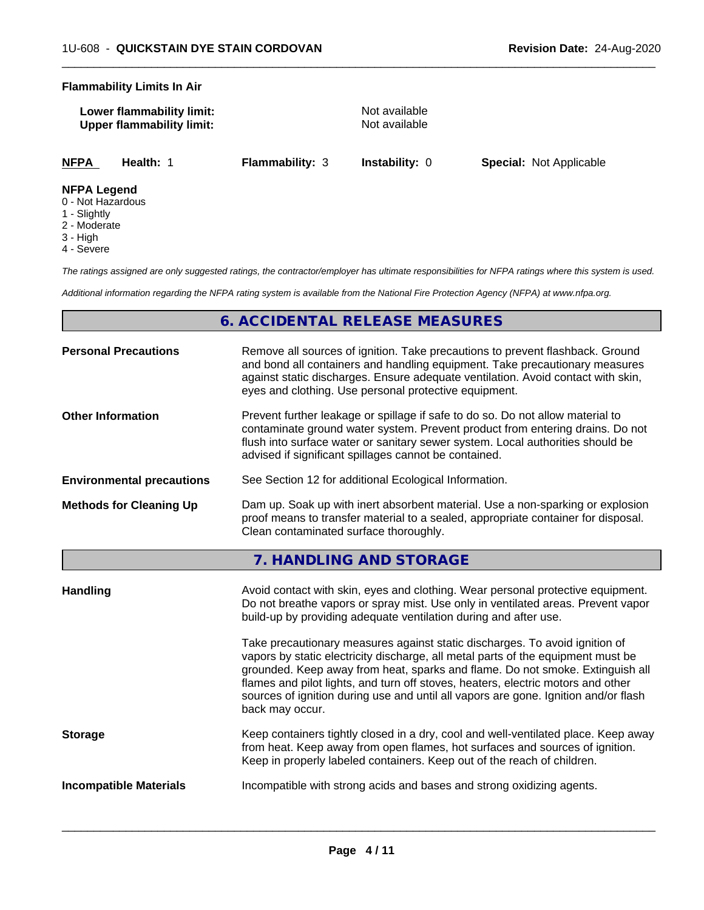#### **Flammability Limits In Air**

| Lower flammability limit:        |  |
|----------------------------------|--|
| <b>Upper flammability limit:</b> |  |

**Not available Not available** 

 $\overline{\phantom{a}}$  ,  $\overline{\phantom{a}}$  ,  $\overline{\phantom{a}}$  ,  $\overline{\phantom{a}}$  ,  $\overline{\phantom{a}}$  ,  $\overline{\phantom{a}}$  ,  $\overline{\phantom{a}}$  ,  $\overline{\phantom{a}}$  ,  $\overline{\phantom{a}}$  ,  $\overline{\phantom{a}}$  ,  $\overline{\phantom{a}}$  ,  $\overline{\phantom{a}}$  ,  $\overline{\phantom{a}}$  ,  $\overline{\phantom{a}}$  ,  $\overline{\phantom{a}}$  ,  $\overline{\phantom{a}}$ 

**NFPA Health:** 1 **Flammability:** 3 **Instability:** 0 **Special:** Not Applicable

### **NFPA Legend**

- 0 Not Hazardous
- 1 Slightly
- 2 Moderate
- 3 High
- 4 Severe

*The ratings assigned are only suggested ratings, the contractor/employer has ultimate responsibilities for NFPA ratings where this system is used.*

*Additional information regarding the NFPA rating system is available from the National Fire Protection Agency (NFPA) at www.nfpa.org.*

# **6. ACCIDENTAL RELEASE MEASURES**

| <b>Personal Precautions</b>      | Remove all sources of ignition. Take precautions to prevent flashback. Ground<br>and bond all containers and handling equipment. Take precautionary measures<br>against static discharges. Ensure adequate ventilation. Avoid contact with skin,<br>eyes and clothing. Use personal protective equipment.  |
|----------------------------------|------------------------------------------------------------------------------------------------------------------------------------------------------------------------------------------------------------------------------------------------------------------------------------------------------------|
| <b>Other Information</b>         | Prevent further leakage or spillage if safe to do so. Do not allow material to<br>contaminate ground water system. Prevent product from entering drains. Do not<br>flush into surface water or sanitary sewer system. Local authorities should be<br>advised if significant spillages cannot be contained. |
| <b>Environmental precautions</b> | See Section 12 for additional Ecological Information.                                                                                                                                                                                                                                                      |
| <b>Methods for Cleaning Up</b>   | Dam up. Soak up with inert absorbent material. Use a non-sparking or explosion<br>proof means to transfer material to a sealed, appropriate container for disposal.<br>Clean contaminated surface thoroughly.                                                                                              |

**7. HANDLING AND STORAGE**

| Handling                      | Avoid contact with skin, eyes and clothing. Wear personal protective equipment.<br>Do not breathe vapors or spray mist. Use only in ventilated areas. Prevent vapor<br>build-up by providing adequate ventilation during and after use.                                                                                                                                                                                                        |
|-------------------------------|------------------------------------------------------------------------------------------------------------------------------------------------------------------------------------------------------------------------------------------------------------------------------------------------------------------------------------------------------------------------------------------------------------------------------------------------|
|                               | Take precautionary measures against static discharges. To avoid ignition of<br>vapors by static electricity discharge, all metal parts of the equipment must be<br>grounded. Keep away from heat, sparks and flame. Do not smoke. Extinguish all<br>flames and pilot lights, and turn off stoves, heaters, electric motors and other<br>sources of ignition during use and until all vapors are gone. Ignition and/or flash<br>back may occur. |
| <b>Storage</b>                | Keep containers tightly closed in a dry, cool and well-ventilated place. Keep away<br>from heat. Keep away from open flames, hot surfaces and sources of ignition.<br>Keep in properly labeled containers. Keep out of the reach of children.                                                                                                                                                                                                  |
| <b>Incompatible Materials</b> | Incompatible with strong acids and bases and strong oxidizing agents.                                                                                                                                                                                                                                                                                                                                                                          |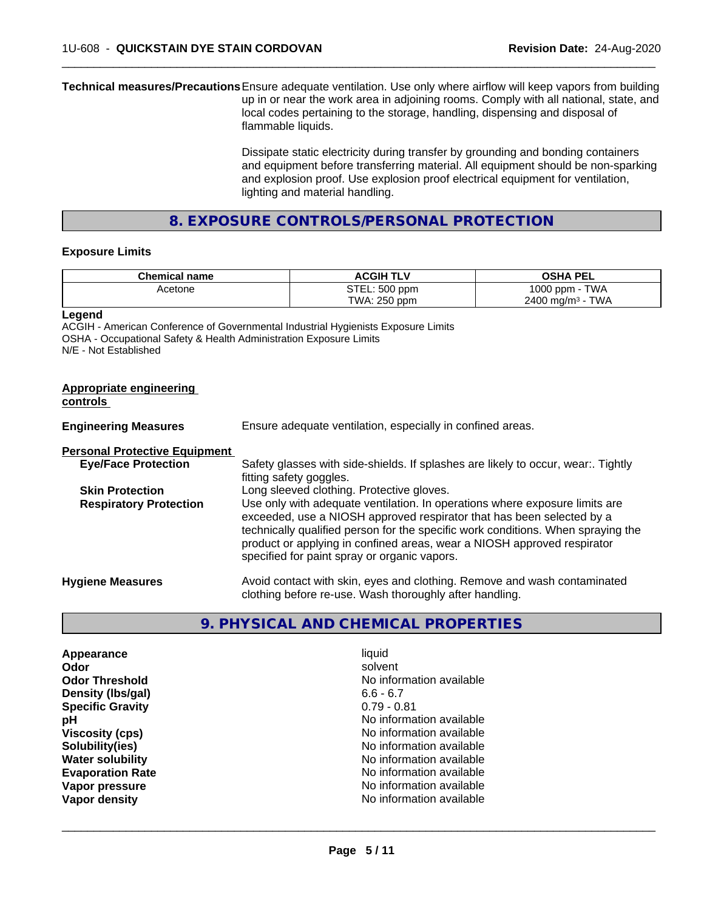**Technical measures/Precautions**Ensure adequate ventilation. Use only where airflow will keep vapors from building up in or near the work area in adjoining rooms. Comply with all national, state, and local codes pertaining to the storage, handling, dispensing and disposal of flammable liquids.

> Dissipate static electricity during transfer by grounding and bonding containers and equipment before transferring material. All equipment should be non-sparking and explosion proof. Use explosion proof electrical equipment for ventilation, lighting and material handling.

 $\overline{\phantom{a}}$  ,  $\overline{\phantom{a}}$  ,  $\overline{\phantom{a}}$  ,  $\overline{\phantom{a}}$  ,  $\overline{\phantom{a}}$  ,  $\overline{\phantom{a}}$  ,  $\overline{\phantom{a}}$  ,  $\overline{\phantom{a}}$  ,  $\overline{\phantom{a}}$  ,  $\overline{\phantom{a}}$  ,  $\overline{\phantom{a}}$  ,  $\overline{\phantom{a}}$  ,  $\overline{\phantom{a}}$  ,  $\overline{\phantom{a}}$  ,  $\overline{\phantom{a}}$  ,  $\overline{\phantom{a}}$ 

**8. EXPOSURE CONTROLS/PERSONAL PROTECTION**

#### **Exposure Limits**

| <b>Chemical name</b> | <b>ACGIH</b><br>L | <b>OSHA PEL</b>                |
|----------------------|-------------------|--------------------------------|
| Acetone              | STEL: 500 ppm     | <b>TWA</b><br>1000<br>J ppm -  |
|                      | TWA: 250 ppm      | TWA<br>$2400 \; \text{ma/m}^3$ |

**Legend**

ACGIH - American Conference of Governmental Industrial Hygienists Exposure Limits OSHA - Occupational Safety & Health Administration Exposure Limits N/E - Not Established

| Appropriate engineering<br>controls  |                                                                                                                                                                                                                                                                                                                                                                     |
|--------------------------------------|---------------------------------------------------------------------------------------------------------------------------------------------------------------------------------------------------------------------------------------------------------------------------------------------------------------------------------------------------------------------|
| <b>Engineering Measures</b>          | Ensure adequate ventilation, especially in confined areas.                                                                                                                                                                                                                                                                                                          |
| <b>Personal Protective Equipment</b> |                                                                                                                                                                                                                                                                                                                                                                     |
| <b>Eye/Face Protection</b>           | Safety glasses with side-shields. If splashes are likely to occur, wear:. Tightly<br>fitting safety goggles.                                                                                                                                                                                                                                                        |
| <b>Skin Protection</b>               | Long sleeved clothing. Protective gloves.                                                                                                                                                                                                                                                                                                                           |
| <b>Respiratory Protection</b>        | Use only with adequate ventilation. In operations where exposure limits are<br>exceeded, use a NIOSH approved respirator that has been selected by a<br>technically qualified person for the specific work conditions. When spraying the<br>product or applying in confined areas, wear a NIOSH approved respirator<br>specified for paint spray or organic vapors. |
| <b>Hygiene Measures</b>              | Avoid contact with skin, eyes and clothing. Remove and wash contaminated<br>clothing before re-use. Wash thoroughly after handling.                                                                                                                                                                                                                                 |

## **9. PHYSICAL AND CHEMICAL PROPERTIES**

| Appearance              | liquid                   |
|-------------------------|--------------------------|
| Odor                    | solvent                  |
| <b>Odor Threshold</b>   | No information available |
| Density (Ibs/gal)       | $6.6 - 6.7$              |
| <b>Specific Gravity</b> | $0.79 - 0.81$            |
| рH                      | No information available |
| <b>Viscosity (cps)</b>  | No information available |
| Solubility(ies)         | No information available |
| <b>Water solubility</b> | No information available |
| <b>Evaporation Rate</b> | No information available |
| Vapor pressure          | No information available |
| Vapor density           | No information available |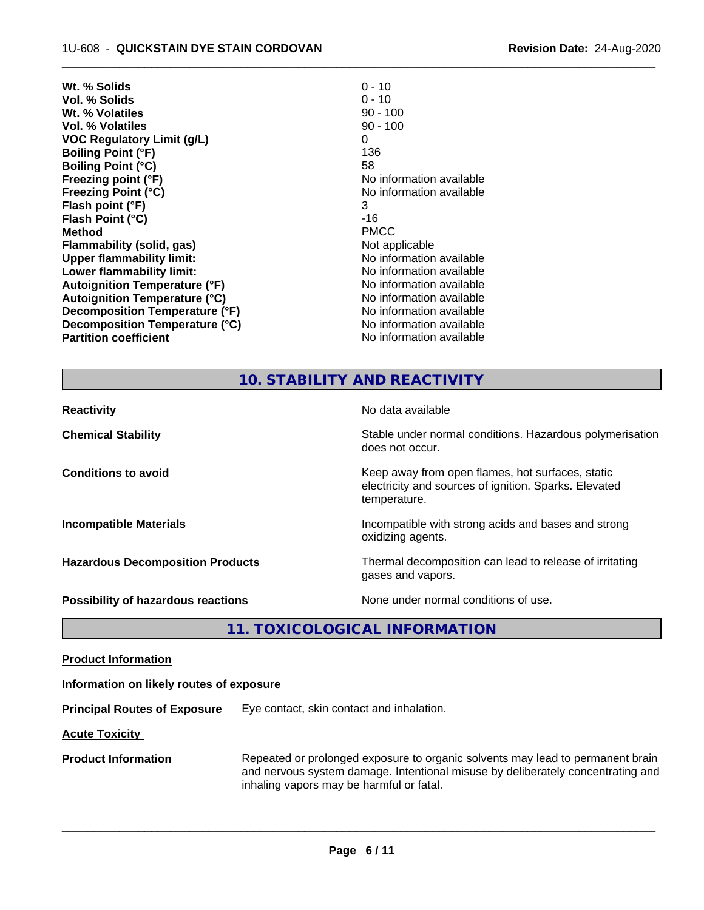| Wt. % Solids                         | $0 - 10$                 |
|--------------------------------------|--------------------------|
| Vol. % Solids                        | $0 - 10$                 |
| Wt. % Volatiles                      | $90 - 100$               |
| <b>Vol. % Volatiles</b>              | $90 - 100$               |
| <b>VOC Regulatory Limit (g/L)</b>    | 0                        |
| <b>Boiling Point (°F)</b>            | 136                      |
| <b>Boiling Point (°C)</b>            | 58                       |
| Freezing point (°F)                  | No information available |
| <b>Freezing Point (°C)</b>           | No information available |
| Flash point (°F)                     | 3                        |
| Flash Point (°C)                     | -16                      |
| <b>Method</b>                        | <b>PMCC</b>              |
| Flammability (solid, gas)            | Not applicable           |
| <b>Upper flammability limit:</b>     | No information available |
| Lower flammability limit:            | No information available |
| <b>Autoignition Temperature (°F)</b> | No information available |
| <b>Autoignition Temperature (°C)</b> | No information available |
| Decomposition Temperature (°F)       | No information available |
| Decomposition Temperature (°C)       | No information available |
| <b>Partition coefficient</b>         | No information available |
|                                      |                          |

## **10. STABILITY AND REACTIVITY**

 $\overline{\phantom{a}}$  ,  $\overline{\phantom{a}}$  ,  $\overline{\phantom{a}}$  ,  $\overline{\phantom{a}}$  ,  $\overline{\phantom{a}}$  ,  $\overline{\phantom{a}}$  ,  $\overline{\phantom{a}}$  ,  $\overline{\phantom{a}}$  ,  $\overline{\phantom{a}}$  ,  $\overline{\phantom{a}}$  ,  $\overline{\phantom{a}}$  ,  $\overline{\phantom{a}}$  ,  $\overline{\phantom{a}}$  ,  $\overline{\phantom{a}}$  ,  $\overline{\phantom{a}}$  ,  $\overline{\phantom{a}}$ 

| <b>Reactivity</b>                         | No data available                                                                                                         |
|-------------------------------------------|---------------------------------------------------------------------------------------------------------------------------|
| <b>Chemical Stability</b>                 | Stable under normal conditions. Hazardous polymerisation<br>does not occur.                                               |
| <b>Conditions to avoid</b>                | Keep away from open flames, hot surfaces, static<br>electricity and sources of ignition. Sparks. Elevated<br>temperature. |
| <b>Incompatible Materials</b>             | Incompatible with strong acids and bases and strong<br>oxidizing agents.                                                  |
| <b>Hazardous Decomposition Products</b>   | Thermal decomposition can lead to release of irritating<br>gases and vapors.                                              |
| <b>Possibility of hazardous reactions</b> | None under normal conditions of use.                                                                                      |

**11. TOXICOLOGICAL INFORMATION**

**Product Information**

#### **Information on likely routes of exposure**

**Principal Routes of Exposure** Eye contact, skin contact and inhalation.

**Acute Toxicity** 

**Product Information** Repeated or prolonged exposure to organic solvents may lead to permanent brain and nervous system damage. Intentional misuse by deliberately concentrating and inhaling vapors may be harmful or fatal.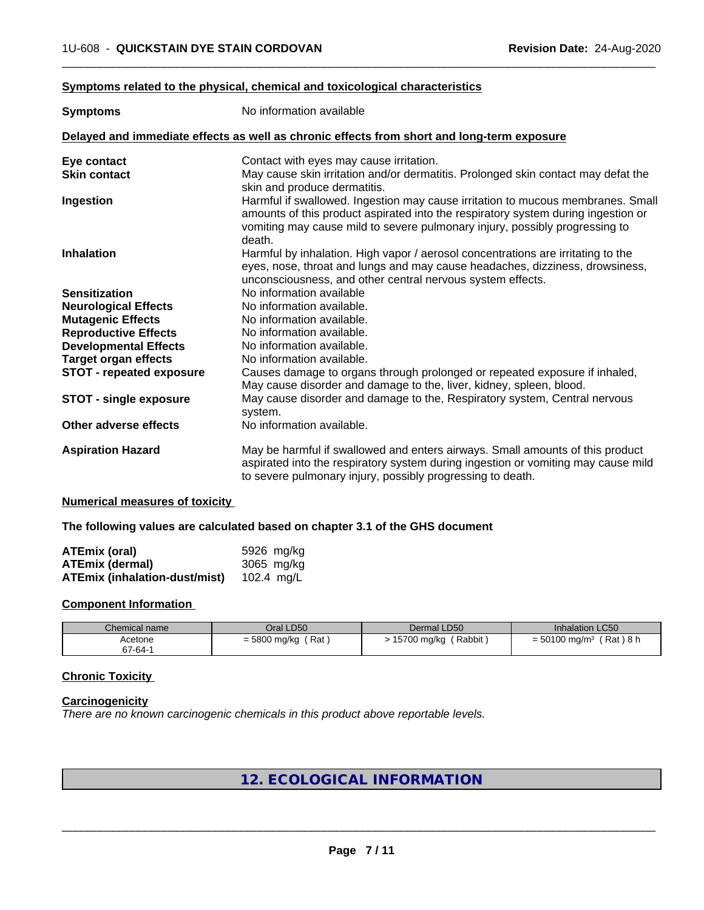### **Symptoms related to the physical,chemical and toxicological characteristics**

| <b>Symptoms</b>                 | No information available                                                                                                                                                                                                                                      |
|---------------------------------|---------------------------------------------------------------------------------------------------------------------------------------------------------------------------------------------------------------------------------------------------------------|
|                                 | Delayed and immediate effects as well as chronic effects from short and long-term exposure                                                                                                                                                                    |
| Eye contact                     | Contact with eyes may cause irritation.                                                                                                                                                                                                                       |
| <b>Skin contact</b>             | May cause skin irritation and/or dermatitis. Prolonged skin contact may defat the                                                                                                                                                                             |
|                                 | skin and produce dermatitis.                                                                                                                                                                                                                                  |
| Ingestion                       | Harmful if swallowed. Ingestion may cause irritation to mucous membranes. Small<br>amounts of this product aspirated into the respiratory system during ingestion or<br>vomiting may cause mild to severe pulmonary injury, possibly progressing to<br>death. |
| <b>Inhalation</b>               | Harmful by inhalation. High vapor / aerosol concentrations are irritating to the<br>eyes, nose, throat and lungs and may cause headaches, dizziness, drowsiness,<br>unconsciousness, and other central nervous system effects.                                |
| <b>Sensitization</b>            | No information available                                                                                                                                                                                                                                      |
| <b>Neurological Effects</b>     | No information available.                                                                                                                                                                                                                                     |
| <b>Mutagenic Effects</b>        | No information available.                                                                                                                                                                                                                                     |
| <b>Reproductive Effects</b>     | No information available.                                                                                                                                                                                                                                     |
| <b>Developmental Effects</b>    | No information available.                                                                                                                                                                                                                                     |
| <b>Target organ effects</b>     | No information available.                                                                                                                                                                                                                                     |
| <b>STOT - repeated exposure</b> | Causes damage to organs through prolonged or repeated exposure if inhaled,<br>May cause disorder and damage to the, liver, kidney, spleen, blood.                                                                                                             |
| <b>STOT - single exposure</b>   | May cause disorder and damage to the, Respiratory system, Central nervous<br>system.                                                                                                                                                                          |
| Other adverse effects           | No information available.                                                                                                                                                                                                                                     |
| <b>Aspiration Hazard</b>        | May be harmful if swallowed and enters airways. Small amounts of this product<br>aspirated into the respiratory system during ingestion or vomiting may cause mild<br>to severe pulmonary injury, possibly progressing to death.                              |

 $\overline{\phantom{a}}$  ,  $\overline{\phantom{a}}$  ,  $\overline{\phantom{a}}$  ,  $\overline{\phantom{a}}$  ,  $\overline{\phantom{a}}$  ,  $\overline{\phantom{a}}$  ,  $\overline{\phantom{a}}$  ,  $\overline{\phantom{a}}$  ,  $\overline{\phantom{a}}$  ,  $\overline{\phantom{a}}$  ,  $\overline{\phantom{a}}$  ,  $\overline{\phantom{a}}$  ,  $\overline{\phantom{a}}$  ,  $\overline{\phantom{a}}$  ,  $\overline{\phantom{a}}$  ,  $\overline{\phantom{a}}$ 

### **Numerical measures of toxicity**

#### **The following values are calculated based on chapter 3.1 of the GHS document**

| <b>ATEmix (oral)</b>                 | 5926 mg/ka |
|--------------------------------------|------------|
| <b>ATEmix (dermal)</b>               | 3065 mg/kg |
| <b>ATEmix (inhalation-dust/mist)</b> | 102.4 ma/L |

#### **Component Information**

| Chemical name | Oral LD50           | Dermal LD50           | <b>Inhalation LC50</b>                  |
|---------------|---------------------|-----------------------|-----------------------------------------|
| Acetone       | Rat<br>= 5800 mg/kg | Rabbit<br>15700 mg/kg | (Rat)8 h<br>$= 50100$ mg/m <sup>3</sup> |
| 67-64-1       |                     |                       |                                         |

## **Chronic Toxicity**

#### **Carcinogenicity**

*There are no known carcinogenic chemicals in this product above reportable levels.*

# **12. ECOLOGICAL INFORMATION**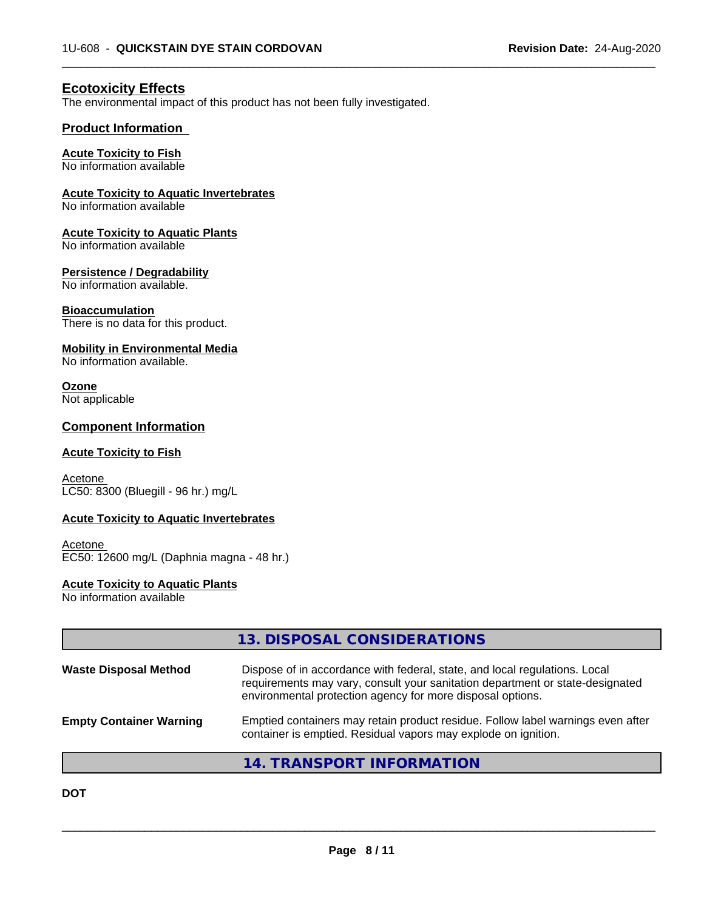$\overline{\phantom{a}}$  ,  $\overline{\phantom{a}}$  ,  $\overline{\phantom{a}}$  ,  $\overline{\phantom{a}}$  ,  $\overline{\phantom{a}}$  ,  $\overline{\phantom{a}}$  ,  $\overline{\phantom{a}}$  ,  $\overline{\phantom{a}}$  ,  $\overline{\phantom{a}}$  ,  $\overline{\phantom{a}}$  ,  $\overline{\phantom{a}}$  ,  $\overline{\phantom{a}}$  ,  $\overline{\phantom{a}}$  ,  $\overline{\phantom{a}}$  ,  $\overline{\phantom{a}}$  ,  $\overline{\phantom{a}}$ 

# **Ecotoxicity Effects**

The environmental impact of this product has not been fully investigated.

## **Product Information**

### **Acute Toxicity to Fish**

No information available

#### **Acute Toxicity to Aquatic Invertebrates**

No information available

#### **Acute Toxicity to Aquatic Plants**

No information available

#### **Persistence / Degradability**

No information available.

#### **Bioaccumulation**

There is no data for this product.

#### **Mobility in Environmental Media**

No information available.

# **Ozone**

Not applicable

## **Component Information**

#### **Acute Toxicity to Fish**

**Acetone** LC50: 8300 (Bluegill - 96 hr.) mg/L

### **Acute Toxicity to Aquatic Invertebrates**

Acetone EC50: 12600 mg/L (Daphnia magna - 48 hr.)

#### **Acute Toxicity to Aquatic Plants**

No information available

|                                | 13. DISPOSAL CONSIDERATIONS                                                                                                                                                                                               |
|--------------------------------|---------------------------------------------------------------------------------------------------------------------------------------------------------------------------------------------------------------------------|
| <b>Waste Disposal Method</b>   | Dispose of in accordance with federal, state, and local regulations. Local<br>requirements may vary, consult your sanitation department or state-designated<br>environmental protection agency for more disposal options. |
| <b>Empty Container Warning</b> | Emptied containers may retain product residue. Follow label warnings even after<br>container is emptied. Residual vapors may explode on ignition.                                                                         |
|                                | 14. TRANSPORT INFORMATION                                                                                                                                                                                                 |

**DOT**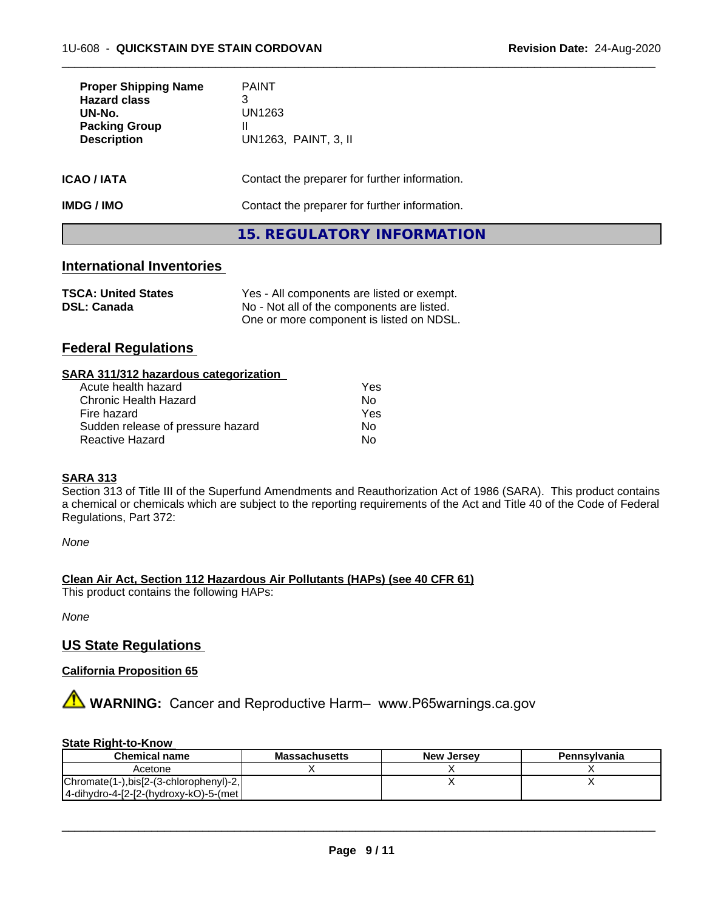| <b>Proper Shipping Name</b><br><b>Hazard class</b><br>UN-No.<br><b>Packing Group</b><br><b>Description</b> | <b>PAINT</b><br>3<br>UN1263<br>Ш<br>UN1263, PAINT, 3, II |
|------------------------------------------------------------------------------------------------------------|----------------------------------------------------------|
| ICAO / IATA                                                                                                | Contact the preparer for further information.            |
| IMDG / IMO                                                                                                 | Contact the preparer for further information.            |
|                                                                                                            | 15. REGULATORY INFORMATION                               |

 $\overline{\phantom{a}}$  ,  $\overline{\phantom{a}}$  ,  $\overline{\phantom{a}}$  ,  $\overline{\phantom{a}}$  ,  $\overline{\phantom{a}}$  ,  $\overline{\phantom{a}}$  ,  $\overline{\phantom{a}}$  ,  $\overline{\phantom{a}}$  ,  $\overline{\phantom{a}}$  ,  $\overline{\phantom{a}}$  ,  $\overline{\phantom{a}}$  ,  $\overline{\phantom{a}}$  ,  $\overline{\phantom{a}}$  ,  $\overline{\phantom{a}}$  ,  $\overline{\phantom{a}}$  ,  $\overline{\phantom{a}}$ 

## **International Inventories**

| <b>TSCA: United States</b> | Yes - All components are listed or exempt. |
|----------------------------|--------------------------------------------|
| <b>DSL: Canada</b>         | No - Not all of the components are listed. |
|                            | One or more component is listed on NDSL.   |

# **Federal Regulations**

| SARA 311/312 hazardous categorization |     |  |
|---------------------------------------|-----|--|
| Acute health hazard                   | Yes |  |
| Chronic Health Hazard                 | N٥  |  |
| Fire hazard                           | Yes |  |

#### **SARA 313**

Section 313 of Title III of the Superfund Amendments and Reauthorization Act of 1986 (SARA). This product contains a chemical or chemicals which are subject to the reporting requirements of the Act and Title 40 of the Code of Federal Regulations, Part 372:

*None*

#### **Clean Air Act,Section 112 Hazardous Air Pollutants (HAPs) (see 40 CFR 61)**

This product contains the following HAPs:

*None*

# **US State Regulations**

#### **California Proposition 65**

**AVIMARNING:** Cancer and Reproductive Harm– www.P65warnings.ca.gov

#### **State Right-to-Know**

| <b>Chemical name</b>                    | <b>Massachusetts</b> | <b>New Jersey</b> | Pennsylvania |
|-----------------------------------------|----------------------|-------------------|--------------|
| Acetone                                 |                      |                   |              |
| Chromate(1-), bis[2-(3-chlorophenyl)-2, |                      |                   |              |
| 4-dihydro-4-[2-[2-(hydroxy-kO)-5-(met   |                      |                   |              |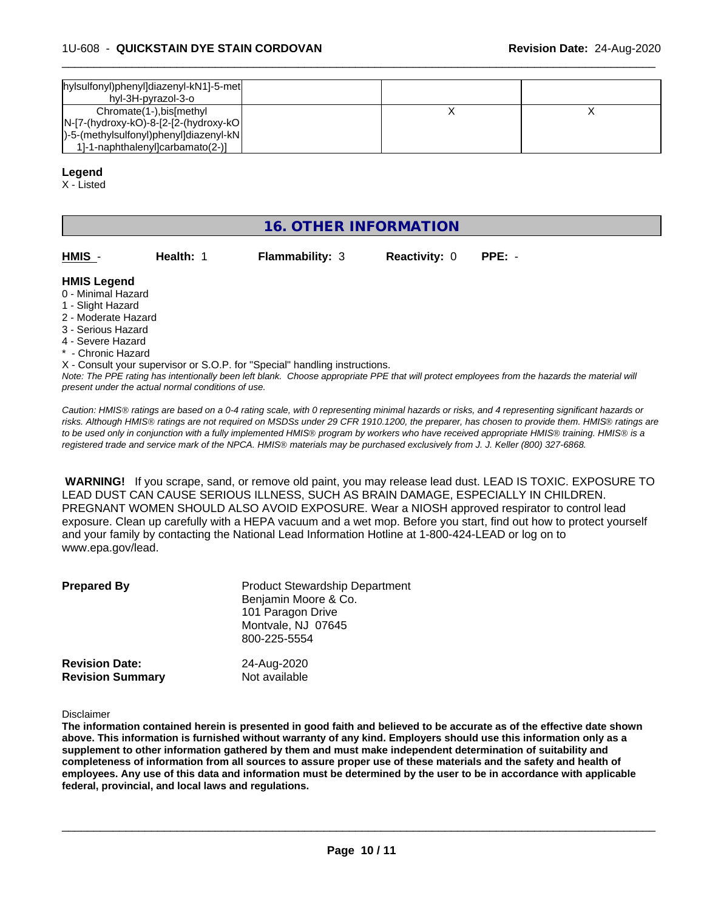| hylsulfonyl)phenyl]diazenyl-kN1]-5-met<br>hyl-3H-pyrazol-3-o                                                                                        |  |  |
|-----------------------------------------------------------------------------------------------------------------------------------------------------|--|--|
| Chromate(1-), bis[methyl<br>$ N-[7-(hydroxy-kO)-8-[2-[2-(hydroxy-kO)]$<br> )-5-(methylsulfonyl)phenyl]diazenyl-kN <br>1-1-naphthalenyloarbamato(2-) |  |  |

 $\overline{\phantom{a}}$  ,  $\overline{\phantom{a}}$  ,  $\overline{\phantom{a}}$  ,  $\overline{\phantom{a}}$  ,  $\overline{\phantom{a}}$  ,  $\overline{\phantom{a}}$  ,  $\overline{\phantom{a}}$  ,  $\overline{\phantom{a}}$  ,  $\overline{\phantom{a}}$  ,  $\overline{\phantom{a}}$  ,  $\overline{\phantom{a}}$  ,  $\overline{\phantom{a}}$  ,  $\overline{\phantom{a}}$  ,  $\overline{\phantom{a}}$  ,  $\overline{\phantom{a}}$  ,  $\overline{\phantom{a}}$ 

#### **Legend**

X - Listed

# **16. OTHER INFORMATION**

| HMIS               | Health: 1 | <b>Flammability: 3</b> | <b>Reactivity: 0</b> | $PPE: -$ |  |
|--------------------|-----------|------------------------|----------------------|----------|--|
| <b>HMIS Legend</b> |           |                        |                      |          |  |

- 0 Minimal Hazard
- 1 Slight Hazard
- 2 Moderate Hazard
- 3 Serious Hazard
- 4 Severe Hazard
- Chronic Hazard

*Note: The PPE rating has intentionally been left blank. Choose appropriate PPE that will protect employees from the hazards the material will present under the actual normal conditions of use.* X - Consult your supervisor or S.O.P. for "Special" handling instructions.

*Caution: HMISÒ ratings are based on a 0-4 rating scale, with 0 representing minimal hazards or risks, and 4 representing significant hazards or risks. Although HMISÒ ratings are not required on MSDSs under 29 CFR 1910.1200, the preparer, has chosen to provide them. HMISÒ ratings are to be used only in conjunction with a fully implemented HMISÒ program by workers who have received appropriate HMISÒ training. HMISÒ is a registered trade and service mark of the NPCA. HMISÒ materials may be purchased exclusively from J. J. Keller (800) 327-6868.*

 **WARNING!** If you scrape, sand, or remove old paint, you may release lead dust. LEAD IS TOXIC. EXPOSURE TO LEAD DUST CAN CAUSE SERIOUS ILLNESS, SUCH AS BRAIN DAMAGE, ESPECIALLY IN CHILDREN. PREGNANT WOMEN SHOULD ALSO AVOID EXPOSURE.Wear a NIOSH approved respirator to control lead exposure. Clean up carefully with a HEPA vacuum and a wet mop. Before you start, find out how to protect yourself and your family by contacting the National Lead Information Hotline at 1-800-424-LEAD or log on to www.epa.gov/lead.

| <b>Prepared By</b>      | <b>Product Stewardship Department</b><br>Benjamin Moore & Co.<br>101 Paragon Drive<br>Montvale, NJ 07645<br>800-225-5554 |
|-------------------------|--------------------------------------------------------------------------------------------------------------------------|
| <b>Revision Date:</b>   | 24-Aug-2020                                                                                                              |
| <b>Revision Summary</b> | Not available                                                                                                            |

Disclaimer

The information contained herein is presented in good faith and believed to be accurate as of the effective date shown above. This information is furnished without warranty of any kind. Employers should use this information only as a **supplement to other information gathered by them and must make independent determination of suitability and** completeness of information from all sources to assure proper use of these materials and the safety and health of employees. Any use of this data and information must be determined by the user to be in accordance with applicable **federal, provincial, and local laws and regulations.**